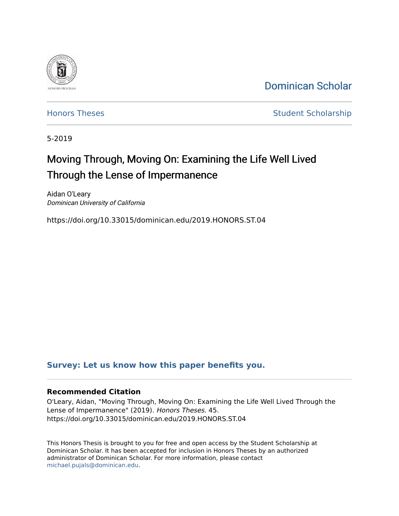

[Dominican Scholar](https://scholar.dominican.edu/) 

[Honors Theses](https://scholar.dominican.edu/honors-theses) **Student Scholarship** 

5-2019

## Moving Through, Moving On: Examining the Life Well Lived Through the Lense of Impermanence

Aidan O'Leary Dominican University of California

https://doi.org/10.33015/dominican.edu/2019.HONORS.ST.04

#### **[Survey: Let us know how this paper benefits you.](https://dominican.libwizard.com/dominican-scholar-feedback)**

#### **Recommended Citation**

O'Leary, Aidan, "Moving Through, Moving On: Examining the Life Well Lived Through the Lense of Impermanence" (2019). Honors Theses. 45. https://doi.org/10.33015/dominican.edu/2019.HONORS.ST.04

This Honors Thesis is brought to you for free and open access by the Student Scholarship at Dominican Scholar. It has been accepted for inclusion in Honors Theses by an authorized administrator of Dominican Scholar. For more information, please contact [michael.pujals@dominican.edu.](mailto:michael.pujals@dominican.edu)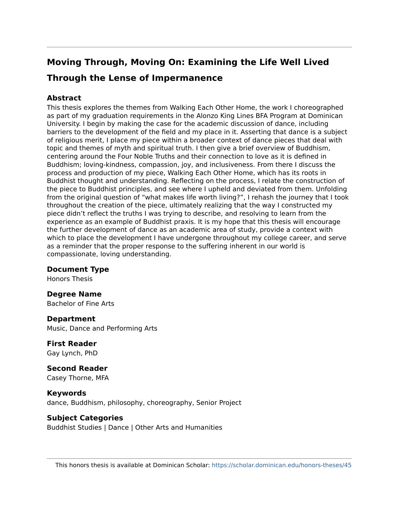# **Moving Through, Moving On: Examining the Life Well Lived**

### **Through the Lense of Impermanence**

#### **Abstract**

This thesis explores the themes from Walking Each Other Home, the work I choreographed as part of my graduation requirements in the Alonzo King Lines BFA Program at Dominican University. I begin by making the case for the academic discussion of dance, including barriers to the development of the field and my place in it. Asserting that dance is a subject of religious merit, I place my piece within a broader context of dance pieces that deal with topic and themes of myth and spiritual truth. I then give a brief overview of Buddhism, centering around the Four Noble Truths and their connection to love as it is defined in Buddhism; loving-kindness, compassion, joy, and inclusiveness. From there I discuss the process and production of my piece, Walking Each Other Home, which has its roots in Buddhist thought and understanding. Reflecting on the process, I relate the construction of the piece to Buddhist principles, and see where I upheld and deviated from them. Unfolding from the original question of "what makes life worth living?", I rehash the journey that I took throughout the creation of the piece, ultimately realizing that the way I constructed my piece didn't reflect the truths I was trying to describe, and resolving to learn from the experience as an example of Buddhist praxis. It is my hope that this thesis will encourage the further development of dance as an academic area of study, provide a context with which to place the development I have undergone throughout my college career, and serve as a reminder that the proper response to the suffering inherent in our world is compassionate, loving understanding.

#### **Document Type**

Honors Thesis

#### **Degree Name**

Bachelor of Fine Arts

#### **Department**

Music, Dance and Performing Arts

#### **First Reader**

Gay Lynch, PhD

#### **Second Reader**

Casey Thorne, MFA

#### **Keywords**

dance, Buddhism, philosophy, choreography, Senior Project

#### **Subject Categories**

Buddhist Studies | Dance | Other Arts and Humanities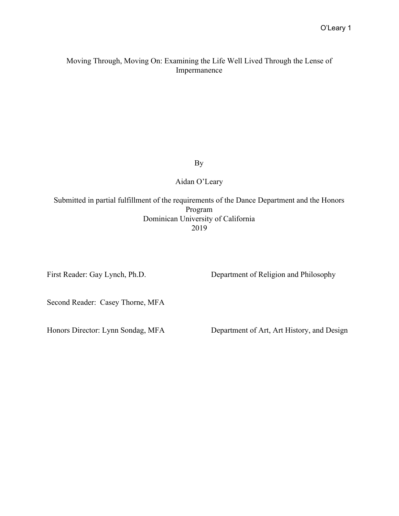#### Moving Through, Moving On: Examining the Life Well Lived Through the Lense of Impermanence

By

Aidan O'Leary

Submitted in partial fulfillment of the requirements of the Dance Department and the Honors Program Dominican University of California 2019

First Reader: Gay Lynch, Ph.D. Department of Religion and Philosophy

Second Reader: Casey Thorne, MFA

Honors Director: Lynn Sondag, MFA Department of Art, Art History, and Design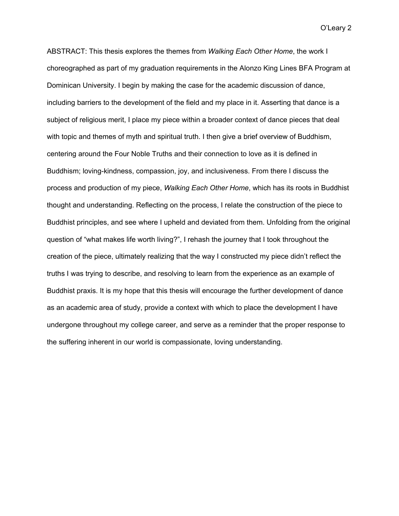ABSTRACT: This thesis explores the themes from *Walking Each Other Home*, the work I choreographed as part of my graduation requirements in the Alonzo King Lines BFA Program at Dominican University. I begin by making the case for the academic discussion of dance, including barriers to the development of the field and my place in it. Asserting that dance is a subject of religious merit, I place my piece within a broader context of dance pieces that deal with topic and themes of myth and spiritual truth. I then give a brief overview of Buddhism, centering around the Four Noble Truths and their connection to love as it is defined in Buddhism; loving-kindness, compassion, joy, and inclusiveness. From there I discuss the process and production of my piece, *Walking Each Other Home*, which has its roots in Buddhist thought and understanding. Reflecting on the process, I relate the construction of the piece to Buddhist principles, and see where I upheld and deviated from them. Unfolding from the original question of "what makes life worth living?", I rehash the journey that I took throughout the creation of the piece, ultimately realizing that the way I constructed my piece didn't reflect the truths I was trying to describe, and resolving to learn from the experience as an example of Buddhist praxis. It is my hope that this thesis will encourage the further development of dance as an academic area of study, provide a context with which to place the development I have undergone throughout my college career, and serve as a reminder that the proper response to the suffering inherent in our world is compassionate, loving understanding.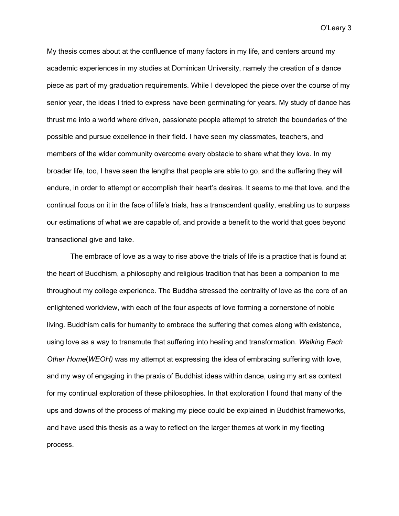My thesis comes about at the confluence of many factors in my life, and centers around my academic experiences in my studies at Dominican University, namely the creation of a dance piece as part of my graduation requirements. While I developed the piece over the course of my senior year, the ideas I tried to express have been germinating for years. My study of dance has thrust me into a world where driven, passionate people attempt to stretch the boundaries of the possible and pursue excellence in their field. I have seen my classmates, teachers, and members of the wider community overcome every obstacle to share what they love. In my broader life, too, I have seen the lengths that people are able to go, and the suffering they will endure, in order to attempt or accomplish their heart's desires. It seems to me that love, and the continual focus on it in the face of life's trials, has a transcendent quality, enabling us to surpass our estimations of what we are capable of, and provide a benefit to the world that goes beyond transactional give and take.

The embrace of love as a way to rise above the trials of life is a practice that is found at the heart of Buddhism, a philosophy and religious tradition that has been a companion to me throughout my college experience. The Buddha stressed the centrality of love as the core of an enlightened worldview, with each of the four aspects of love forming a cornerstone of noble living. Buddhism calls for humanity to embrace the suffering that comes along with existence, using love as a way to transmute that suffering into healing and transformation. *Walking Each Other Home*(*WEOH)* was my attempt at expressing the idea of embracing suffering with love, and my way of engaging in the praxis of Buddhist ideas within dance, using my art as context for my continual exploration of these philosophies. In that exploration I found that many of the ups and downs of the process of making my piece could be explained in Buddhist frameworks, and have used this thesis as a way to reflect on the larger themes at work in my fleeting process.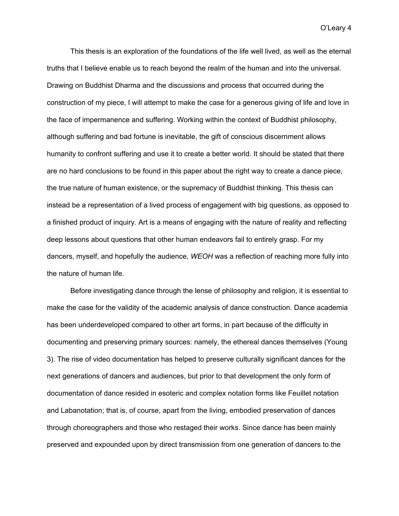This thesis is an exploration of the foundations of the life well lived, as well as the eternal truths that I believe enable us to reach beyond the realm of the human and into the universal. Drawing on Buddhist Dharma and the discussions and process that occurred during the construction of my piece, I will attempt to make the case for a generous giving of life and love in the face of impermanence and suffering. Working within the context of Buddhist philosophy, although suffering and bad fortune is inevitable, the gift of conscious discernment allows humanity to confront suffering and use it to create a better world. It should be stated that there are no hard conclusions to be found in this paper about the right way to create a dance piece, the true nature of human existence, or the supremacy of Buddhist thinking. This thesis can instead be a representation of a lived process of engagement with big questions, as opposed to a finished product of inquiry. Art is a means of engaging with the nature of reality and reflecting deep lessons about questions that other human endeavors fail to entirely grasp. For my dancers, myself, and hopefully the audience, *WEOH* was a reflection of reaching more fully into the nature of human life.

Before investigating dance through the lense of philosophy and religion, it is essential to make the case for the validity of the academic analysis of dance construction. Dance academia has been underdeveloped compared to other art forms, in part because of the difficulty in documenting and preserving primary sources: namely, the ethereal dances themselves (Young 3). The rise of video documentation has helped to preserve culturally significant dances for the next generations of dancers and audiences, but prior to that development the only form of documentation of dance resided in esoteric and complex notation forms like Feuillet notation and Labanotation; that is, of course, apart from the living, embodied preservation of dances through choreographers and those who restaged their works. Since dance has been mainly preserved and expounded upon by direct transmission from one generation of dancers to the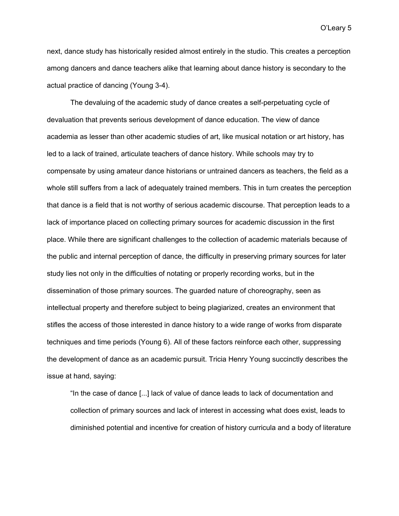next, dance study has historically resided almost entirely in the studio. This creates a perception among dancers and dance teachers alike that learning about dance history is secondary to the actual practice of dancing (Young 3-4).

The devaluing of the academic study of dance creates a self-perpetuating cycle of devaluation that prevents serious development of dance education. The view of dance academia as lesser than other academic studies of art, like musical notation or art history, has led to a lack of trained, articulate teachers of dance history. While schools may try to compensate by using amateur dance historians or untrained dancers as teachers, the field as a whole still suffers from a lack of adequately trained members. This in turn creates the perception that dance is a field that is not worthy of serious academic discourse. That perception leads to a lack of importance placed on collecting primary sources for academic discussion in the first place. While there are significant challenges to the collection of academic materials because of the public and internal perception of dance, the difficulty in preserving primary sources for later study lies not only in the difficulties of notating or properly recording works, but in the dissemination of those primary sources. The guarded nature of choreography, seen as intellectual property and therefore subject to being plagiarized, creates an environment that stifles the access of those interested in dance history to a wide range of works from disparate techniques and time periods (Young 6). All of these factors reinforce each other, suppressing the development of dance as an academic pursuit. Tricia Henry Young succinctly describes the issue at hand, saying:

"In the case of dance [...] lack of value of dance leads to lack of documentation and collection of primary sources and lack of interest in accessing what does exist, leads to diminished potential and incentive for creation of history curricula and a body of literature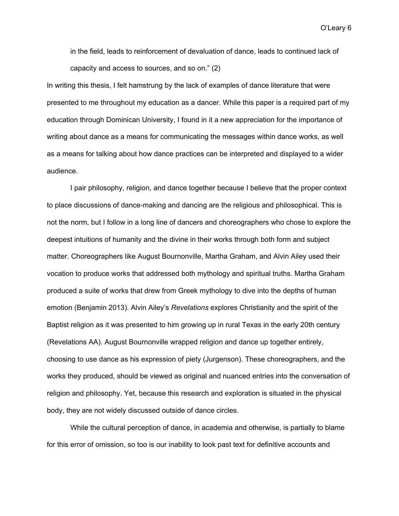in the field, leads to reinforcement of devaluation of dance, leads to continued lack of capacity and access to sources, and so on." (2)

In writing this thesis, I felt hamstrung by the lack of examples of dance literature that were presented to me throughout my education as a dancer. While this paper is a required part of my education through Dominican University, I found in it a new appreciation for the importance of writing about dance as a means for communicating the messages within dance works, as well as a means for talking about how dance practices can be interpreted and displayed to a wider audience.

I pair philosophy, religion, and dance together because I believe that the proper context to place discussions of dance-making and dancing are the religious and philosophical. This is not the norm, but I follow in a long line of dancers and choreographers who chose to explore the deepest intuitions of humanity and the divine in their works through both form and subject matter. Choreographers like August Bournonville, Martha Graham, and Alvin Ailey used their vocation to produce works that addressed both mythology and spiritual truths. Martha Graham produced a suite of works that drew from Greek mythology to dive into the depths of human emotion (Benjamin 2013). Alvin Ailey's *Revelations* explores Christianity and the spirit of the Baptist religion as it was presented to him growing up in rural Texas in the early 20th century (Revelations AA). August Bournonville wrapped religion and dance up together entirely, choosing to use dance as his expression of piety (Jurgenson). These choreographers, and the works they produced, should be viewed as original and nuanced entries into the conversation of religion and philosophy. Yet, because this research and exploration is situated in the physical body, they are not widely discussed outside of dance circles.

While the cultural perception of dance, in academia and otherwise, is partially to blame for this error of omission, so too is our inability to look past text for definitive accounts and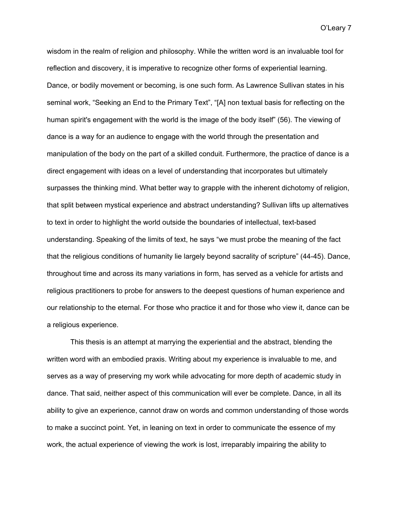wisdom in the realm of religion and philosophy. While the written word is an invaluable tool for reflection and discovery, it is imperative to recognize other forms of experiential learning. Dance, or bodily movement or becoming, is one such form. As Lawrence Sullivan states in his seminal work, "Seeking an End to the Primary Text", "[A] non textual basis for reflecting on the human spirit's engagement with the world is the image of the body itself" (56). The viewing of dance is a way for an audience to engage with the world through the presentation and manipulation of the body on the part of a skilled conduit. Furthermore, the practice of dance is a direct engagement with ideas on a level of understanding that incorporates but ultimately surpasses the thinking mind. What better way to grapple with the inherent dichotomy of religion, that split between mystical experience and abstract understanding? Sullivan lifts up alternatives to text in order to highlight the world outside the boundaries of intellectual, text-based understanding. Speaking of the limits of text, he says "we must probe the meaning of the fact that the religious conditions of humanity lie largely beyond sacrality of scripture" (44-45). Dance, throughout time and across its many variations in form, has served as a vehicle for artists and religious practitioners to probe for answers to the deepest questions of human experience and our relationship to the eternal. For those who practice it and for those who view it, dance can be a religious experience.

This thesis is an attempt at marrying the experiential and the abstract, blending the written word with an embodied praxis. Writing about my experience is invaluable to me, and serves as a way of preserving my work while advocating for more depth of academic study in dance. That said, neither aspect of this communication will ever be complete. Dance, in all its ability to give an experience, cannot draw on words and common understanding of those words to make a succinct point. Yet, in leaning on text in order to communicate the essence of my work, the actual experience of viewing the work is lost, irreparably impairing the ability to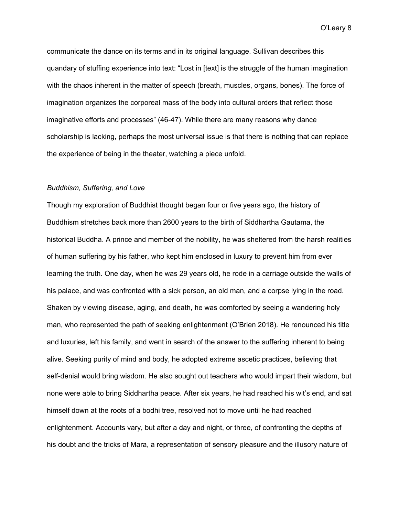communicate the dance on its terms and in its original language. Sullivan describes this quandary of stuffing experience into text: "Lost in [text] is the struggle of the human imagination with the chaos inherent in the matter of speech (breath, muscles, organs, bones). The force of imagination organizes the corporeal mass of the body into cultural orders that reflect those imaginative efforts and processes" (46-47). While there are many reasons why dance scholarship is lacking, perhaps the most universal issue is that there is nothing that can replace the experience of being in the theater, watching a piece unfold.

#### *Buddhism, Suffering, and Love*

Though my exploration of Buddhist thought began four or five years ago, the history of Buddhism stretches back more than 2600 years to the birth of Siddhartha Gautama, the historical Buddha. A prince and member of the nobility, he was sheltered from the harsh realities of human suffering by his father, who kept him enclosed in luxury to prevent him from ever learning the truth. One day, when he was 29 years old, he rode in a carriage outside the walls of his palace, and was confronted with a sick person, an old man, and a corpse lying in the road. Shaken by viewing disease, aging, and death, he was comforted by seeing a wandering holy man, who represented the path of seeking enlightenment (O'Brien 2018). He renounced his title and luxuries, left his family, and went in search of the answer to the suffering inherent to being alive. Seeking purity of mind and body, he adopted extreme ascetic practices, believing that self-denial would bring wisdom. He also sought out teachers who would impart their wisdom, but none were able to bring Siddhartha peace. After six years, he had reached his wit's end, and sat himself down at the roots of a bodhi tree, resolved not to move until he had reached enlightenment. Accounts vary, but after a day and night, or three, of confronting the depths of his doubt and the tricks of Mara, a representation of sensory pleasure and the illusory nature of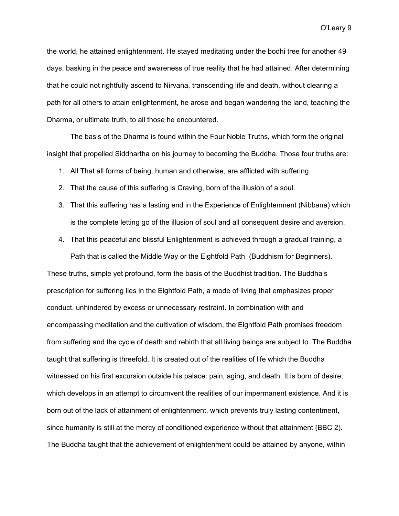the world, he attained enlightenment. He stayed meditating under the bodhi tree for another 49 days, basking in the peace and awareness of true reality that he had attained. After determining that he could not rightfully ascend to Nirvana, transcending life and death, without clearing a path for all others to attain enlightenment, he arose and began wandering the land, teaching the Dharma, or ultimate truth, to all those he encountered.

The basis of the Dharma is found within the Four Noble Truths, which form the original insight that propelled Siddhartha on his journey to becoming the Buddha. Those four truths are:

- 1. All That all forms of being, human and otherwise, are afflicted with suffering.
- 2. That the cause of this suffering is Craving, born of the illusion of a soul.
- 3. That this suffering has a lasting end in the Experience of Enlightenment (Nibbana) which is the complete letting go of the illusion of soul and all consequent desire and aversion.
- 4. That this peaceful and blissful Enlightenment is achieved through a gradual training, a Path that is called the Middle Way or the Eightfold Path (Buddhism for Beginners).

These truths, simple yet profound, form the basis of the Buddhist tradition. The Buddha's prescription for suffering lies in the Eightfold Path, a mode of living that emphasizes proper conduct, unhindered by excess or unnecessary restraint. In combination with and encompassing meditation and the cultivation of wisdom, the Eightfold Path promises freedom from suffering and the cycle of death and rebirth that all living beings are subject to. The Buddha taught that suffering is threefold. It is created out of the realities of life which the Buddha witnessed on his first excursion outside his palace: pain, aging, and death. It is born of desire, which develops in an attempt to circumvent the realities of our impermanent existence. And it is born out of the lack of attainment of enlightenment, which prevents truly lasting contentment, since humanity is still at the mercy of conditioned experience without that attainment (BBC 2). The Buddha taught that the achievement of enlightenment could be attained by anyone, within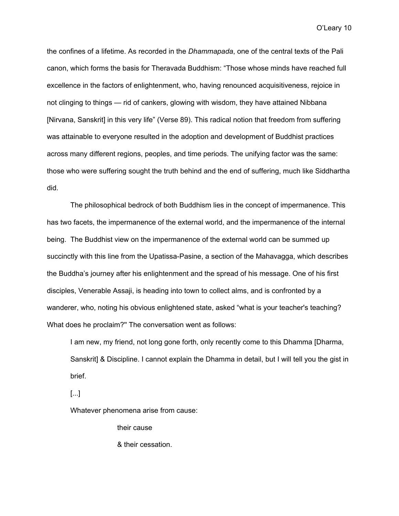the confines of a lifetime. As recorded in the *Dhammapada*, one of the central texts of the Pali canon, which forms the basis for Theravada Buddhism: "Those whose minds have reached full excellence in the factors of enlightenment, who, having renounced acquisitiveness, rejoice in not clinging to things — rid of cankers, glowing with wisdom, they have attained Nibbana [Nirvana, Sanskrit] in this very life" (Verse 89). This radical notion that freedom from suffering was attainable to everyone resulted in the adoption and development of Buddhist practices across many different regions, peoples, and time periods. The unifying factor was the same: those who were suffering sought the truth behind and the end of suffering, much like Siddhartha did.

The philosophical bedrock of both Buddhism lies in the concept of impermanence. This has two facets, the impermanence of the external world, and the impermanence of the internal being. The Buddhist view on the impermanence of the external world can be summed up succinctly with this line from the Upatissa-Pasine, a section of the Mahavagga, which describes the Buddha's journey after his enlightenment and the spread of his message. One of his first disciples, Venerable Assaji, is heading into town to collect alms, and is confronted by a wanderer, who, noting his obvious enlightened state, asked "what is your teacher's teaching? What does he proclaim?'' The conversation went as follows:

I am new, my friend, not long gone forth, only recently come to this Dhamma [Dharma, Sanskrit] & Discipline. I cannot explain the Dhamma in detail, but I will tell you the gist in brief.

[...]

Whatever phenomena arise from cause:

their cause

& their cessation.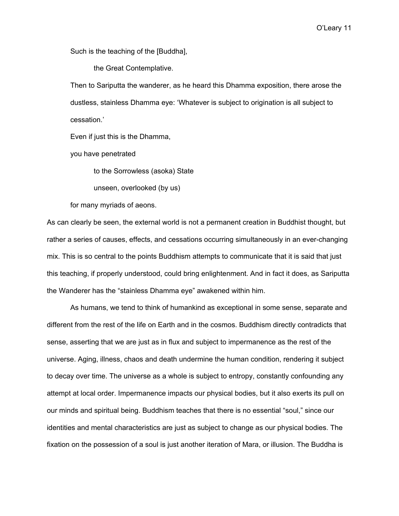Such is the teaching of the [Buddha],

the Great Contemplative.

Then to Sariputta the wanderer, as he heard this Dhamma exposition, there arose the dustless, stainless Dhamma eye: 'Whatever is subject to origination is all subject to cessation.'

Even if just this is the Dhamma,

you have penetrated

to the Sorrowless (asoka) State

unseen, overlooked (by us)

for many myriads of aeons.

As can clearly be seen, the external world is not a permanent creation in Buddhist thought, but rather a series of causes, effects, and cessations occurring simultaneously in an ever-changing mix. This is so central to the points Buddhism attempts to communicate that it is said that just this teaching, if properly understood, could bring enlightenment. And in fact it does, as Sariputta the Wanderer has the "stainless Dhamma eye" awakened within him.

As humans, we tend to think of humankind as exceptional in some sense, separate and different from the rest of the life on Earth and in the cosmos. Buddhism directly contradicts that sense, asserting that we are just as in flux and subject to impermanence as the rest of the universe. Aging, illness, chaos and death undermine the human condition, rendering it subject to decay over time. The universe as a whole is subject to entropy, constantly confounding any attempt at local order. Impermanence impacts our physical bodies, but it also exerts its pull on our minds and spiritual being. Buddhism teaches that there is no essential "soul," since our identities and mental characteristics are just as subject to change as our physical bodies. The fixation on the possession of a soul is just another iteration of Mara, or illusion. The Buddha is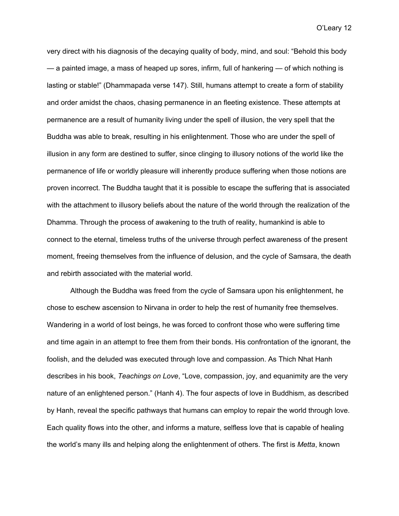very direct with his diagnosis of the decaying quality of body, mind, and soul: "Behold this body — a painted image, a mass of heaped up sores, infirm, full of hankering — of which nothing is lasting or stable!" (Dhammapada verse 147). Still, humans attempt to create a form of stability and order amidst the chaos, chasing permanence in an fleeting existence. These attempts at permanence are a result of humanity living under the spell of illusion, the very spell that the Buddha was able to break, resulting in his enlightenment. Those who are under the spell of illusion in any form are destined to suffer, since clinging to illusory notions of the world like the permanence of life or worldly pleasure will inherently produce suffering when those notions are proven incorrect. The Buddha taught that it is possible to escape the suffering that is associated with the attachment to illusory beliefs about the nature of the world through the realization of the Dhamma. Through the process of awakening to the truth of reality, humankind is able to connect to the eternal, timeless truths of the universe through perfect awareness of the present moment, freeing themselves from the influence of delusion, and the cycle of Samsara, the death and rebirth associated with the material world.

Although the Buddha was freed from the cycle of Samsara upon his enlightenment, he chose to eschew ascension to Nirvana in order to help the rest of humanity free themselves. Wandering in a world of lost beings, he was forced to confront those who were suffering time and time again in an attempt to free them from their bonds. His confrontation of the ignorant, the foolish, and the deluded was executed through love and compassion. As Thich Nhat Hanh describes in his book, *Teachings on Love*, "Love, compassion, joy, and equanimity are the very nature of an enlightened person." (Hanh 4). The four aspects of love in Buddhism, as described by Hanh, reveal the specific pathways that humans can employ to repair the world through love. Each quality flows into the other, and informs a mature, selfless love that is capable of healing the world's many ills and helping along the enlightenment of others. The first is *Metta*, known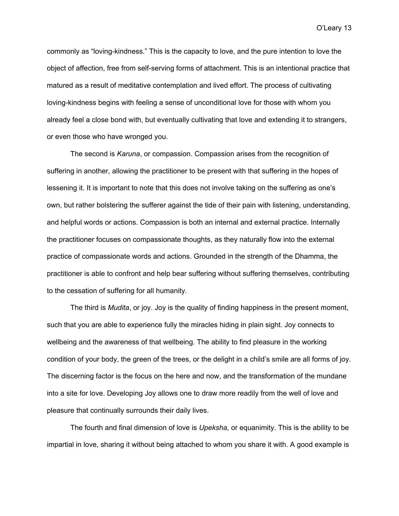commonly as "loving-kindness." This is the capacity to love, and the pure intention to love the object of affection, free from self-serving forms of attachment. This is an intentional practice that matured as a result of meditative contemplation and lived effort. The process of cultivating loving-kindness begins with feeling a sense of unconditional love for those with whom you already feel a close bond with, but eventually cultivating that love and extending it to strangers, or even those who have wronged you.

The second is *Karuna*, or compassion. Compassion arises from the recognition of suffering in another, allowing the practitioner to be present with that suffering in the hopes of lessening it. It is important to note that this does not involve taking on the suffering as one's own, but rather bolstering the sufferer against the tide of their pain with listening, understanding, and helpful words or actions. Compassion is both an internal and external practice. Internally the practitioner focuses on compassionate thoughts, as they naturally flow into the external practice of compassionate words and actions. Grounded in the strength of the Dhamma, the practitioner is able to confront and help bear suffering without suffering themselves, contributing to the cessation of suffering for all humanity.

The third is *Mudita*, or joy. Joy is the quality of finding happiness in the present moment, such that you are able to experience fully the miracles hiding in plain sight. Joy connects to wellbeing and the awareness of that wellbeing. The ability to find pleasure in the working condition of your body, the green of the trees, or the delight in a child's smile are all forms of joy. The discerning factor is the focus on the here and now, and the transformation of the mundane into a site for love. Developing Joy allows one to draw more readily from the well of love and pleasure that continually surrounds their daily lives.

The fourth and final dimension of love is *Upeksha*, or equanimity. This is the ability to be impartial in love, sharing it without being attached to whom you share it with. A good example is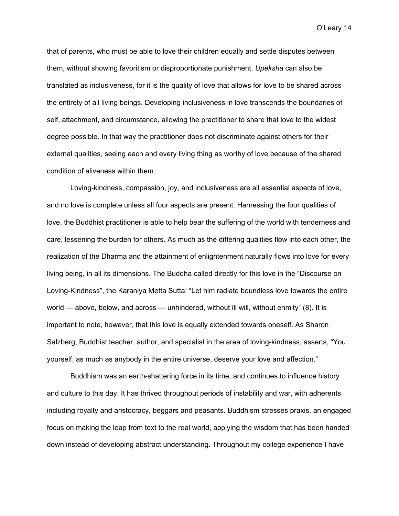that of parents, who must be able to love their children equally and settle disputes between them, without showing favoritism or disproportionate punishment. *Upeksha* can also be translated as inclusiveness, for it is the quality of love that allows for love to be shared across the entirety of all living beings. Developing inclusiveness in love transcends the boundaries of self, attachment, and circumstance, allowing the practitioner to share that love to the widest degree possible. In that way the practitioner does not discriminate against others for their external qualities, seeing each and every living thing as worthy of love because of the shared condition of aliveness within them.

Loving-kindness, compassion, joy, and inclusiveness are all essential aspects of love, and no love is complete unless all four aspects are present. Harnessing the four qualities of love, the Buddhist practitioner is able to help bear the suffering of the world with tenderness and care, lessening the burden for others. As much as the differing qualities flow into each other, the realization of the Dharma and the attainment of enlightenment naturally flows into love for every living being, in all its dimensions. The Buddha called directly for this love in the "Discourse on Loving-Kindness", the Karaniya Metta Sutta: "Let him radiate boundless love towards the entire world — above, below, and across — unhindered, without ill will, without enmity" (8). It is important to note, however, that this love is equally extended towards oneself. As Sharon Salzberg, Buddhist teacher, author, and specialist in the area of loving-kindness, asserts, "You yourself, as much as anybody in the entire universe, deserve your love and affection."

Buddhism was an earth-shattering force in its time, and continues to influence history and culture to this day. It has thrived throughout periods of instability and war, with adherents including royalty and aristocracy, beggars and peasants. Buddhism stresses praxis, an engaged focus on making the leap from text to the real world, applying the wisdom that has been handed down instead of developing abstract understanding. Throughout my college experience I have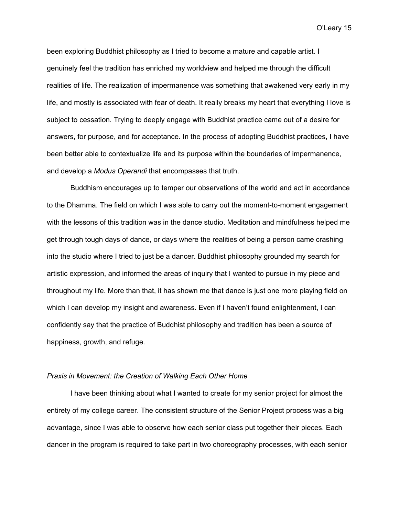been exploring Buddhist philosophy as I tried to become a mature and capable artist. I genuinely feel the tradition has enriched my worldview and helped me through the difficult realities of life. The realization of impermanence was something that awakened very early in my life, and mostly is associated with fear of death. It really breaks my heart that everything I love is subject to cessation. Trying to deeply engage with Buddhist practice came out of a desire for answers, for purpose, and for acceptance. In the process of adopting Buddhist practices, I have been better able to contextualize life and its purpose within the boundaries of impermanence, and develop a *Modus Operandi* that encompasses that truth.

Buddhism encourages up to temper our observations of the world and act in accordance to the Dhamma. The field on which I was able to carry out the moment-to-moment engagement with the lessons of this tradition was in the dance studio. Meditation and mindfulness helped me get through tough days of dance, or days where the realities of being a person came crashing into the studio where I tried to just be a dancer. Buddhist philosophy grounded my search for artistic expression, and informed the areas of inquiry that I wanted to pursue in my piece and throughout my life. More than that, it has shown me that dance is just one more playing field on which I can develop my insight and awareness. Even if I haven't found enlightenment, I can confidently say that the practice of Buddhist philosophy and tradition has been a source of happiness, growth, and refuge.

#### *Praxis in Movement: the Creation of Walking Each Other Home*

I have been thinking about what I wanted to create for my senior project for almost the entirety of my college career. The consistent structure of the Senior Project process was a big advantage, since I was able to observe how each senior class put together their pieces. Each dancer in the program is required to take part in two choreography processes, with each senior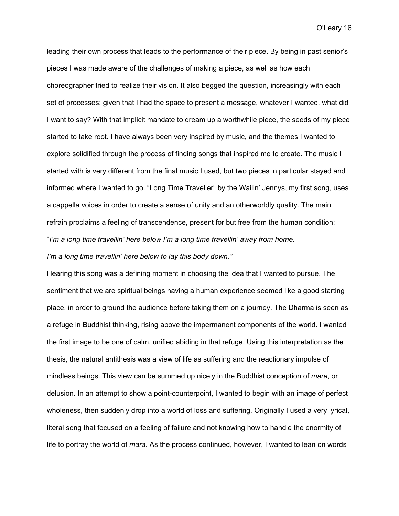leading their own process that leads to the performance of their piece. By being in past senior's pieces I was made aware of the challenges of making a piece, as well as how each choreographer tried to realize their vision. It also begged the question, increasingly with each set of processes: given that I had the space to present a message, whatever I wanted, what did I want to say? With that implicit mandate to dream up a worthwhile piece, the seeds of my piece started to take root. I have always been very inspired by music, and the themes I wanted to explore solidified through the process of finding songs that inspired me to create. The music I started with is very different from the final music I used, but two pieces in particular stayed and informed where I wanted to go. "Long Time Traveller" by the Wailin' Jennys, my first song, uses a cappella voices in order to create a sense of unity and an otherworldly quality. The main refrain proclaims a feeling of transcendence, present for but free from the human condition: "*I'm a long time travellin' here below I'm a long time travellin' away from home.*

*I'm a long time travellin' here below to lay this body down."*

Hearing this song was a defining moment in choosing the idea that I wanted to pursue. The sentiment that we are spiritual beings having a human experience seemed like a good starting place, in order to ground the audience before taking them on a journey. The Dharma is seen as a refuge in Buddhist thinking, rising above the impermanent components of the world. I wanted the first image to be one of calm, unified abiding in that refuge. Using this interpretation as the thesis, the natural antithesis was a view of life as suffering and the reactionary impulse of mindless beings. This view can be summed up nicely in the Buddhist conception of *mara*, or delusion. In an attempt to show a point-counterpoint, I wanted to begin with an image of perfect wholeness, then suddenly drop into a world of loss and suffering. Originally I used a very lyrical, literal song that focused on a feeling of failure and not knowing how to handle the enormity of life to portray the world of *mara*. As the process continued, however, I wanted to lean on words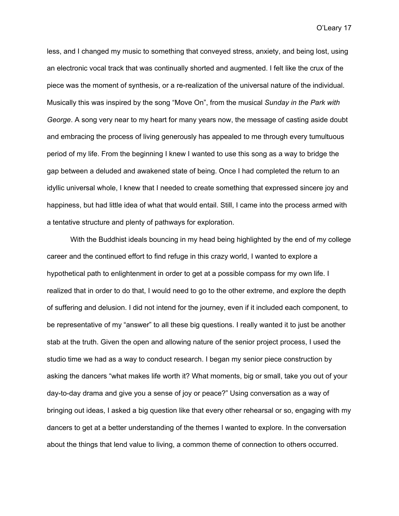less, and I changed my music to something that conveyed stress, anxiety, and being lost, using an electronic vocal track that was continually shorted and augmented. I felt like the crux of the piece was the moment of synthesis, or a re-realization of the universal nature of the individual. Musically this was inspired by the song "Move On", from the musical *Sunday in the Park with George*. A song very near to my heart for many years now, the message of casting aside doubt and embracing the process of living generously has appealed to me through every tumultuous period of my life. From the beginning I knew I wanted to use this song as a way to bridge the gap between a deluded and awakened state of being. Once I had completed the return to an idyllic universal whole, I knew that I needed to create something that expressed sincere joy and happiness, but had little idea of what that would entail. Still, I came into the process armed with a tentative structure and plenty of pathways for exploration.

With the Buddhist ideals bouncing in my head being highlighted by the end of my college career and the continued effort to find refuge in this crazy world, I wanted to explore a hypothetical path to enlightenment in order to get at a possible compass for my own life. I realized that in order to do that, I would need to go to the other extreme, and explore the depth of suffering and delusion. I did not intend for the journey, even if it included each component, to be representative of my "answer" to all these big questions. I really wanted it to just be another stab at the truth. Given the open and allowing nature of the senior project process, I used the studio time we had as a way to conduct research. I began my senior piece construction by asking the dancers "what makes life worth it? What moments, big or small, take you out of your day-to-day drama and give you a sense of joy or peace?" Using conversation as a way of bringing out ideas, I asked a big question like that every other rehearsal or so, engaging with my dancers to get at a better understanding of the themes I wanted to explore. In the conversation about the things that lend value to living, a common theme of connection to others occurred.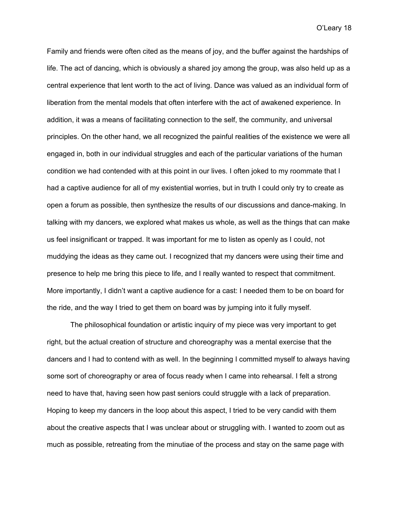Family and friends were often cited as the means of joy, and the buffer against the hardships of life. The act of dancing, which is obviously a shared joy among the group, was also held up as a central experience that lent worth to the act of living. Dance was valued as an individual form of liberation from the mental models that often interfere with the act of awakened experience. In addition, it was a means of facilitating connection to the self, the community, and universal principles. On the other hand, we all recognized the painful realities of the existence we were all engaged in, both in our individual struggles and each of the particular variations of the human condition we had contended with at this point in our lives. I often joked to my roommate that I had a captive audience for all of my existential worries, but in truth I could only try to create as open a forum as possible, then synthesize the results of our discussions and dance-making. In talking with my dancers, we explored what makes us whole, as well as the things that can make us feel insignificant or trapped. It was important for me to listen as openly as I could, not muddying the ideas as they came out. I recognized that my dancers were using their time and presence to help me bring this piece to life, and I really wanted to respect that commitment. More importantly, I didn't want a captive audience for a cast: I needed them to be on board for the ride, and the way I tried to get them on board was by jumping into it fully myself.

The philosophical foundation or artistic inquiry of my piece was very important to get right, but the actual creation of structure and choreography was a mental exercise that the dancers and I had to contend with as well. In the beginning I committed myself to always having some sort of choreography or area of focus ready when I came into rehearsal. I felt a strong need to have that, having seen how past seniors could struggle with a lack of preparation. Hoping to keep my dancers in the loop about this aspect, I tried to be very candid with them about the creative aspects that I was unclear about or struggling with. I wanted to zoom out as much as possible, retreating from the minutiae of the process and stay on the same page with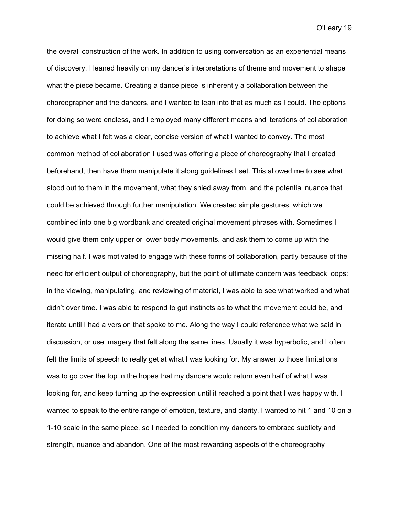the overall construction of the work. In addition to using conversation as an experiential means of discovery, I leaned heavily on my dancer's interpretations of theme and movement to shape what the piece became. Creating a dance piece is inherently a collaboration between the choreographer and the dancers, and I wanted to lean into that as much as I could. The options for doing so were endless, and I employed many different means and iterations of collaboration to achieve what I felt was a clear, concise version of what I wanted to convey. The most common method of collaboration I used was offering a piece of choreography that I created beforehand, then have them manipulate it along guidelines I set. This allowed me to see what stood out to them in the movement, what they shied away from, and the potential nuance that could be achieved through further manipulation. We created simple gestures, which we combined into one big wordbank and created original movement phrases with. Sometimes I would give them only upper or lower body movements, and ask them to come up with the missing half. I was motivated to engage with these forms of collaboration, partly because of the need for efficient output of choreography, but the point of ultimate concern was feedback loops: in the viewing, manipulating, and reviewing of material, I was able to see what worked and what didn't over time. I was able to respond to gut instincts as to what the movement could be, and iterate until I had a version that spoke to me. Along the way I could reference what we said in discussion, or use imagery that felt along the same lines. Usually it was hyperbolic, and I often felt the limits of speech to really get at what I was looking for. My answer to those limitations was to go over the top in the hopes that my dancers would return even half of what I was looking for, and keep turning up the expression until it reached a point that I was happy with. I wanted to speak to the entire range of emotion, texture, and clarity. I wanted to hit 1 and 10 on a 1-10 scale in the same piece, so I needed to condition my dancers to embrace subtlety and strength, nuance and abandon. One of the most rewarding aspects of the choreography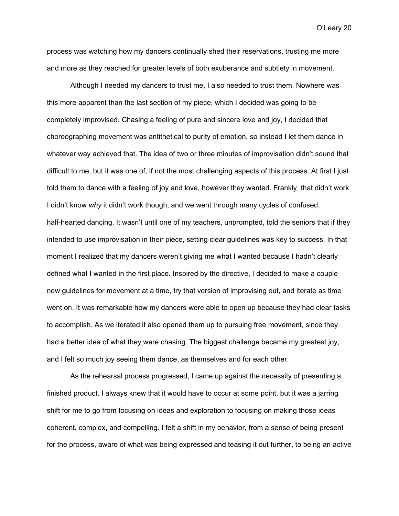process was watching how my dancers continually shed their reservations, trusting me more and more as they reached for greater levels of both exuberance and subtlety in movement.

Although I needed my dancers to trust me, I also needed to trust them. Nowhere was this more apparent than the last section of my piece, which I decided was going to be completely improvised. Chasing a feeling of pure and sincere love and joy, I decided that choreographing movement was antithetical to purity of emotion, so instead I let them dance in whatever way achieved that. The idea of two or three minutes of improvisation didn't sound that difficult to me, but it was one of, if not the most challenging aspects of this process. At first I just told them to dance with a feeling of joy and love, however they wanted. Frankly, that didn't work. I didn't know *why* it didn't work though, and we went through many cycles of confused, half-hearted dancing. It wasn't until one of my teachers, unprompted, told the seniors that if they intended to use improvisation in their piece, setting clear guidelines was key to success. In that moment I realized that my dancers weren't giving me what I wanted because I hadn't clearly defined what I wanted in the first place. Inspired by the directive, I decided to make a couple new guidelines for movement at a time, try that version of improvising out, and iterate as time went on. It was remarkable how my dancers were able to open up because they had clear tasks to accomplish. As we iterated it also opened them up to pursuing free movement, since they had a better idea of what they were chasing. The biggest challenge became my greatest joy, and I felt so much joy seeing them dance, as themselves and for each other.

As the rehearsal process progressed, I came up against the necessity of presenting a finished product. I always knew that it would have to occur at some point, but it was a jarring shift for me to go from focusing on ideas and exploration to focusing on making those ideas coherent, complex, and compelling. I felt a shift in my behavior, from a sense of being present for the process, aware of what was being expressed and teasing it out further, to being an active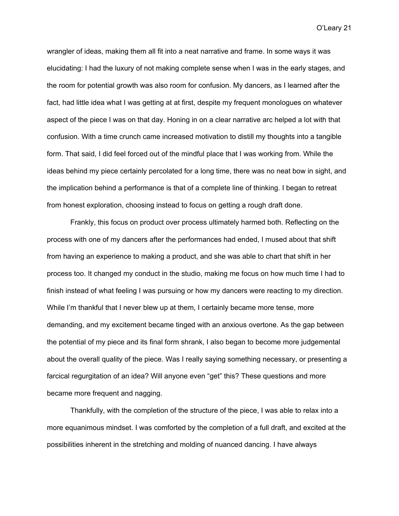wrangler of ideas, making them all fit into a neat narrative and frame. In some ways it was elucidating: I had the luxury of not making complete sense when I was in the early stages, and the room for potential growth was also room for confusion. My dancers, as I learned after the fact, had little idea what I was getting at at first, despite my frequent monologues on whatever aspect of the piece I was on that day. Honing in on a clear narrative arc helped a lot with that confusion. With a time crunch came increased motivation to distill my thoughts into a tangible form. That said, I did feel forced out of the mindful place that I was working from. While the ideas behind my piece certainly percolated for a long time, there was no neat bow in sight, and the implication behind a performance is that of a complete line of thinking. I began to retreat from honest exploration, choosing instead to focus on getting a rough draft done.

Frankly, this focus on product over process ultimately harmed both. Reflecting on the process with one of my dancers after the performances had ended, I mused about that shift from having an experience to making a product, and she was able to chart that shift in her process too. It changed my conduct in the studio, making me focus on how much time I had to finish instead of what feeling I was pursuing or how my dancers were reacting to my direction. While I'm thankful that I never blew up at them, I certainly became more tense, more demanding, and my excitement became tinged with an anxious overtone. As the gap between the potential of my piece and its final form shrank, I also began to become more judgemental about the overall quality of the piece. Was I really saying something necessary, or presenting a farcical regurgitation of an idea? Will anyone even "get" this? These questions and more became more frequent and nagging.

Thankfully, with the completion of the structure of the piece, I was able to relax into a more equanimous mindset. I was comforted by the completion of a full draft, and excited at the possibilities inherent in the stretching and molding of nuanced dancing. I have always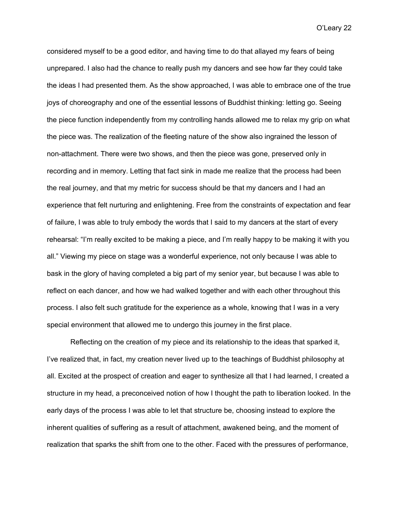considered myself to be a good editor, and having time to do that allayed my fears of being unprepared. I also had the chance to really push my dancers and see how far they could take the ideas I had presented them. As the show approached, I was able to embrace one of the true joys of choreography and one of the essential lessons of Buddhist thinking: letting go. Seeing the piece function independently from my controlling hands allowed me to relax my grip on what the piece was. The realization of the fleeting nature of the show also ingrained the lesson of non-attachment. There were two shows, and then the piece was gone, preserved only in recording and in memory. Letting that fact sink in made me realize that the process had been the real journey, and that my metric for success should be that my dancers and I had an experience that felt nurturing and enlightening. Free from the constraints of expectation and fear of failure, I was able to truly embody the words that I said to my dancers at the start of every rehearsal: "I'm really excited to be making a piece, and I'm really happy to be making it with you all." Viewing my piece on stage was a wonderful experience, not only because I was able to bask in the glory of having completed a big part of my senior year, but because I was able to reflect on each dancer, and how we had walked together and with each other throughout this process. I also felt such gratitude for the experience as a whole, knowing that I was in a very special environment that allowed me to undergo this journey in the first place.

Reflecting on the creation of my piece and its relationship to the ideas that sparked it, I've realized that, in fact, my creation never lived up to the teachings of Buddhist philosophy at all. Excited at the prospect of creation and eager to synthesize all that I had learned, I created a structure in my head, a preconceived notion of how I thought the path to liberation looked. In the early days of the process I was able to let that structure be, choosing instead to explore the inherent qualities of suffering as a result of attachment, awakened being, and the moment of realization that sparks the shift from one to the other. Faced with the pressures of performance,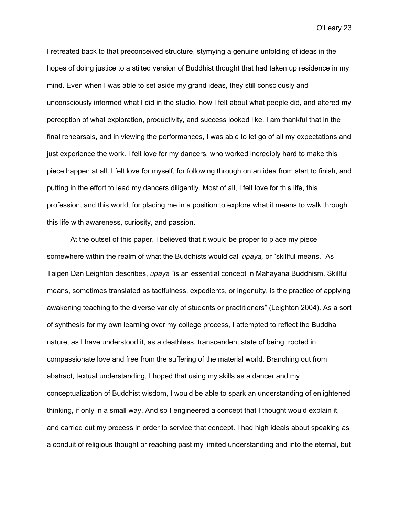I retreated back to that preconceived structure, stymying a genuine unfolding of ideas in the hopes of doing justice to a stilted version of Buddhist thought that had taken up residence in my mind. Even when I was able to set aside my grand ideas, they still consciously and unconsciously informed what I did in the studio, how I felt about what people did, and altered my perception of what exploration, productivity, and success looked like. I am thankful that in the final rehearsals, and in viewing the performances, I was able to let go of all my expectations and just experience the work. I felt love for my dancers, who worked incredibly hard to make this piece happen at all. I felt love for myself, for following through on an idea from start to finish, and putting in the effort to lead my dancers diligently. Most of all, I felt love for this life, this profession, and this world, for placing me in a position to explore what it means to walk through this life with awareness, curiosity, and passion.

At the outset of this paper, I believed that it would be proper to place my piece somewhere within the realm of what the Buddhists would call *upaya,* or "skillful means." As Taigen Dan Leighton describes, *upaya* "is an essential concept in Mahayana Buddhism. Skillful means, sometimes translated as tactfulness, expedients, or ingenuity, is the practice of applying awakening teaching to the diverse variety of students or practitioners" (Leighton 2004). As a sort of synthesis for my own learning over my college process, I attempted to reflect the Buddha nature, as I have understood it, as a deathless, transcendent state of being, rooted in compassionate love and free from the suffering of the material world. Branching out from abstract, textual understanding, I hoped that using my skills as a dancer and my conceptualization of Buddhist wisdom, I would be able to spark an understanding of enlightened thinking, if only in a small way. And so I engineered a concept that I thought would explain it, and carried out my process in order to service that concept. I had high ideals about speaking as a conduit of religious thought or reaching past my limited understanding and into the eternal, but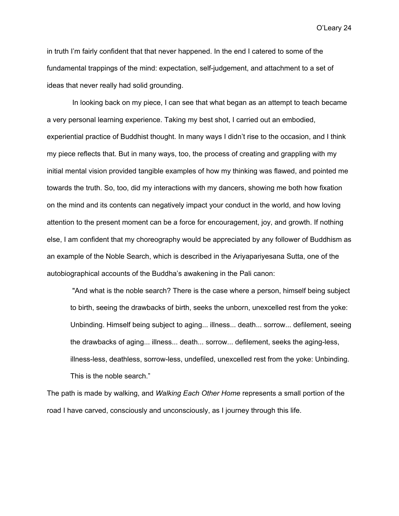in truth I'm fairly confident that that never happened. In the end I catered to some of the fundamental trappings of the mind: expectation, self-judgement, and attachment to a set of ideas that never really had solid grounding.

In looking back on my piece, I can see that what began as an attempt to teach became a very personal learning experience. Taking my best shot, I carried out an embodied, experiential practice of Buddhist thought. In many ways I didn't rise to the occasion, and I think my piece reflects that. But in many ways, too, the process of creating and grappling with my initial mental vision provided tangible examples of how my thinking was flawed, and pointed me towards the truth. So, too, did my interactions with my dancers, showing me both how fixation on the mind and its contents can negatively impact your conduct in the world, and how loving attention to the present moment can be a force for encouragement, joy, and growth. If nothing else, I am confident that my choreography would be appreciated by any follower of Buddhism as an example of the Noble Search, which is described in the Ariyapariyesana Sutta, one of the autobiographical accounts of the Buddha's awakening in the Pali canon:

"And what is the noble search? There is the case where a person, himself being subject to birth, seeing the drawbacks of birth, seeks the unborn, unexcelled rest from the yoke: Unbinding. Himself being subject to aging... illness... death... sorrow... defilement, seeing the drawbacks of aging... illness... death... sorrow... defilement, seeks the aging-less, illness-less, deathless, sorrow-less, undefiled, unexcelled rest from the yoke: Unbinding. This is the noble search."

The path is made by walking, and *Walking Each Other Home* represents a small portion of the road I have carved, consciously and unconsciously, as I journey through this life.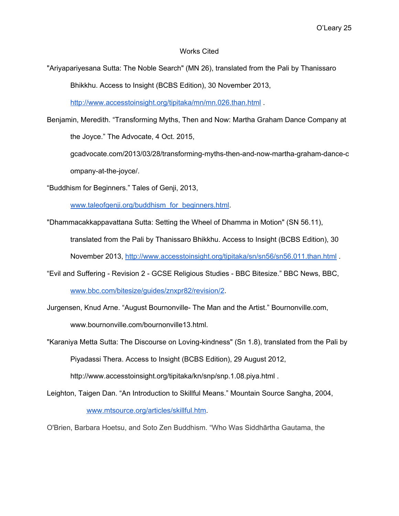#### Works Cited

"Ariyapariyesana Sutta: The Noble Search" (MN 26), translated from the Pali by Thanissaro

Bhikkhu. Access to Insight (BCBS Edition), 30 November 2013,

<http://www.accesstoinsight.org/tipitaka/mn/mn.026.than.html>

Benjamin, Meredith. "Transforming Myths, Then and Now: Martha Graham Dance Company at the Joyce." The Advocate, 4 Oct. 2015,

gcadvocate.com/2013/03/28/transforming-myths-then-and-now-martha-graham-dance-c ompany-at-the-joyce/.

"Buddhism for Beginners." Tales of Genji, 2013,

[www.taleofgenji.org/buddhism\\_for\\_beginners.html.](http://www.taleofgenji.org/buddhism_for_beginners.html)

"Dhammacakkappavattana Sutta: Setting the Wheel of Dhamma in Motion" (SN 56.11),

translated from the Pali by Thanissaro Bhikkhu. Access to Insight (BCBS Edition), 30

November 2013, <http://www.accesstoinsight.org/tipitaka/sn/sn56/sn56.011.than.html> .

"Evil and Suffering - Revision 2 - GCSE Religious Studies - BBC Bitesize." BBC News, BBC,

[www.bbc.com/bitesize/guides/znxpr82/revision/2](http://www.bbc.com/bitesize/guides/znxpr82/revision/2).

Jurgensen, Knud Arne. "August Bournonville- The Man and the Artist." Bournonville.com, www.bournonville.com/bournonville13.html.

"Karaniya Metta Sutta: The Discourse on Loving-kindness" (Sn 1.8), translated from the Pali by Piyadassi Thera. Access to Insight (BCBS Edition), 29 August 2012,

http://www.accesstoinsight.org/tipitaka/kn/snp/snp.1.08.piya.html .

Leighton, Taigen Dan. "An Introduction to Skillful Means." Mountain Source Sangha, 2004,

[www.mtsource.org/articles/skillful.htm](http://www.mtsource.org/articles/skillful.htm).

O'Brien, Barbara Hoetsu, and Soto Zen Buddhism. "Who Was Siddhārtha Gautama, the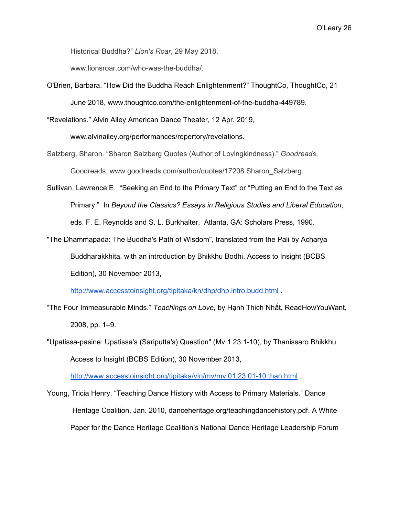Historical Buddha?" *Lion's Roar*, 29 May 2018,

www.lionsroar.com/who-was-the-buddha/.

O'Brien, Barbara. "How Did the Buddha Reach Enlightenment?" ThoughtCo, ThoughtCo, 21 June 2018, www.thoughtco.com/the-enlightenment-of-the-buddha-449789.

"Revelations." Alvin Ailey American Dance Theater, 12 Apr. 2019,

www.alvinailey.org/performances/repertory/revelations.

- Salzberg, Sharon. "Sharon Salzberg Quotes (Author of Lovingkindness)." *Goodreads*, Goodreads, www.goodreads.com/author/quotes/17208.Sharon\_Salzberg.
- Sullivan, Lawrence E. "Seeking an End to the Primary Text" or "Putting an End to the Text as Primary." In *Beyond the Classics? Essays in Religious Studies and Liberal Education*, eds. F. E. Reynolds and S. L. Burkhalter. Atlanta, GA: Scholars Press, 1990.
- "The Dhammapada: The Buddha's Path of Wisdom", translated from the Pali by Acharya Buddharakkhita, with an introduction by Bhikkhu Bodhi. Access to Insight (BCBS Edition), 30 November 2013,

<http://www.accesstoinsight.org/tipitaka/kn/dhp/dhp.intro.budd.html>.

- "The Four Immeasurable Minds." *Teachings on Love*, by Hạnh Thich Nhất, ReadHowYouWant, 2008, pp. 1–9.
- "Upatissa-pasine: Upatissa's (Sariputta's) Question" (Mv 1.23.1-10), by Thanissaro Bhikkhu. Access to Insight (BCBS Edition), 30 November 2013,

<http://www.accesstoinsight.org/tipitaka/vin/mv/mv.01.23.01-10.than.html>

Young, Tricia Henry. "Teaching Dance History with Access to Primary Materials." Dance Heritage Coalition, Jan. 2010, danceheritage.org/teachingdancehistory.pdf. A White Paper for the Dance Heritage Coalition's National Dance Heritage Leadership Forum